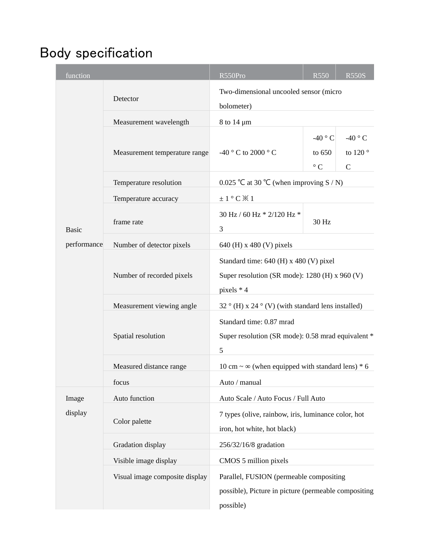## Body specification

| function     |                                           | R550Pro                                                                                                      | <b>R550</b>                            | <b>R550S</b>                                |  |  |  |
|--------------|-------------------------------------------|--------------------------------------------------------------------------------------------------------------|----------------------------------------|---------------------------------------------|--|--|--|
|              | Detector                                  | Two-dimensional uncooled sensor (micro<br>bolometer)                                                         |                                        |                                             |  |  |  |
|              | Measurement wavelength<br>8 to 14 $\mu$ m |                                                                                                              |                                        |                                             |  |  |  |
|              | Measurement temperature range             | -40 °C to 2000 °C                                                                                            | -40 $\degree$ C<br>to 650<br>$\circ$ C | -40 $\degree$ C<br>to 120 °<br>$\mathsf{C}$ |  |  |  |
|              | Temperature resolution                    | 0.025 °C at 30 °C (when improving S / N)                                                                     |                                        |                                             |  |  |  |
|              | Temperature accuracy                      | $±1°C$ $×1$                                                                                                  |                                        |                                             |  |  |  |
| <b>Basic</b> | frame rate                                | 30 Hz / 60 Hz * 2/120 Hz *<br>3                                                                              | 30 Hz                                  |                                             |  |  |  |
| performance  | Number of detector pixels                 | 640 (H) x 480 (V) pixels                                                                                     |                                        |                                             |  |  |  |
|              | Number of recorded pixels                 | Standard time: 640 (H) x 480 (V) pixel<br>Super resolution (SR mode): 1280 (H) x 960 (V)<br>pixels * 4       |                                        |                                             |  |  |  |
|              | Measurement viewing angle                 | 32 ° (H) x 24 ° (V) (with standard lens installed)                                                           |                                        |                                             |  |  |  |
|              | Spatial resolution                        | Standard time: 0.87 mrad<br>Super resolution (SR mode): 0.58 mrad equivalent *<br>5                          |                                        |                                             |  |  |  |
|              | Measured distance range                   | 10 cm $\sim \infty$ (when equipped with standard lens) * 6                                                   |                                        |                                             |  |  |  |
|              | focus                                     | Auto / manual                                                                                                |                                        |                                             |  |  |  |
| Image        | Auto function                             | Auto Scale / Auto Focus / Full Auto                                                                          |                                        |                                             |  |  |  |
| display      | Color palette                             | 7 types (olive, rainbow, iris, luminance color, hot<br>iron, hot white, hot black)                           |                                        |                                             |  |  |  |
|              | Gradation display                         | 256/32/16/8 gradation                                                                                        |                                        |                                             |  |  |  |
|              | Visible image display                     | CMOS 5 million pixels                                                                                        |                                        |                                             |  |  |  |
|              | Visual image composite display            | Parallel, FUSION (permeable compositing<br>possible), Picture in picture (permeable compositing<br>possible) |                                        |                                             |  |  |  |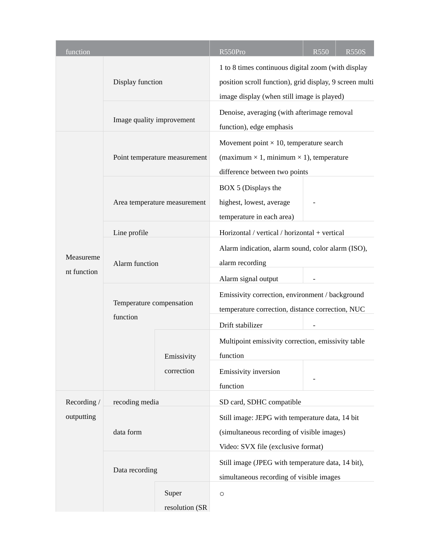|  | function    |                                      |                               | R550Pro                                                                                                                                                     | <b>R550</b> | <b>R550S</b> |  |  |
|--|-------------|--------------------------------------|-------------------------------|-------------------------------------------------------------------------------------------------------------------------------------------------------------|-------------|--------------|--|--|
|  |             | Display function                     |                               | 1 to 8 times continuous digital zoom (with display<br>position scroll function), grid display, 9 screen multi<br>image display (when still image is played) |             |              |  |  |
|  |             | Image quality improvement            |                               | Denoise, averaging (with afterimage removal<br>function), edge emphasis                                                                                     |             |              |  |  |
|  |             |                                      | Point temperature measurement | Movement point $\times$ 10, temperature search<br>(maximum $\times$ 1, minimum $\times$ 1), temperature<br>difference between two points                    |             |              |  |  |
|  |             | Area temperature measurement         |                               | BOX 5 (Displays the<br>highest, lowest, average<br>temperature in each area)                                                                                |             |              |  |  |
|  |             | Line profile                         |                               | Horizontal / vertical / horizontal + vertical                                                                                                               |             |              |  |  |
|  | Measureme   | Alarm function                       |                               | Alarm indication, alarm sound, color alarm (ISO),<br>alarm recording                                                                                        |             |              |  |  |
|  | nt function |                                      |                               | Alarm signal output                                                                                                                                         |             |              |  |  |
|  |             | Temperature compensation<br>function |                               | Emissivity correction, environment / background<br>temperature correction, distance correction, NUC                                                         |             |              |  |  |
|  |             |                                      | Emissivity                    | Drift stabilizer<br>Multipoint emissivity correction, emissivity table<br>function                                                                          |             |              |  |  |
|  |             |                                      | correction                    | Emissivity inversion<br>function                                                                                                                            |             |              |  |  |
|  | Recording / | recoding media                       |                               | SD card, SDHC compatible                                                                                                                                    |             |              |  |  |
|  | outputting  | data form                            |                               | Still image: JEPG with temperature data, 14 bit<br>(simultaneous recording of visible images)<br>Video: SVX file (exclusive format)                         |             |              |  |  |
|  |             | Data recording                       |                               | Still image (JPEG with temperature data, 14 bit),<br>simultaneous recording of visible images                                                               |             |              |  |  |
|  |             |                                      | Super<br>resolution (SR       | $\circ$                                                                                                                                                     |             |              |  |  |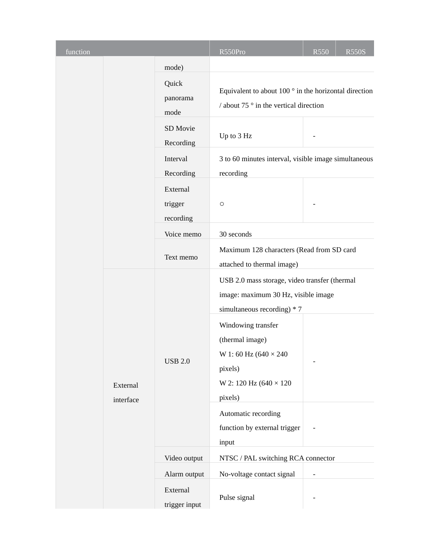| function |                       |                                                             | R550Pro                                                                                                                                                                                                                                                                                              | <b>R550</b> | <b>R550S</b> |  |  |  |
|----------|-----------------------|-------------------------------------------------------------|------------------------------------------------------------------------------------------------------------------------------------------------------------------------------------------------------------------------------------------------------------------------------------------------------|-------------|--------------|--|--|--|
|          |                       | mode)<br>Quick<br>panorama<br>mode<br>SD Movie<br>Recording | Equivalent to about 100 $\degree$ in the horizontal direction<br>/ about 75 $\degree$ in the vertical direction<br>Up to 3 Hz                                                                                                                                                                        |             |              |  |  |  |
|          |                       | Interval<br>Recording                                       | 3 to 60 minutes interval, visible image simultaneous<br>recording                                                                                                                                                                                                                                    |             |              |  |  |  |
|          |                       | External<br>trigger<br>recording                            | $\circ$                                                                                                                                                                                                                                                                                              |             |              |  |  |  |
|          |                       | Voice memo                                                  | 30 seconds                                                                                                                                                                                                                                                                                           |             |              |  |  |  |
|          |                       | Text memo                                                   | Maximum 128 characters (Read from SD card<br>attached to thermal image)                                                                                                                                                                                                                              |             |              |  |  |  |
|          | External<br>interface | <b>USB 2.0</b>                                              | USB 2.0 mass storage, video transfer (thermal<br>image: maximum 30 Hz, visible image<br>simultaneous recording) * 7<br>Windowing transfer<br>(thermal image)<br>W 1:60 Hz (640 × 240<br>pixels)<br>W 2: 120 Hz (640 × 120<br>pixels)<br>Automatic recording<br>function by external trigger<br>input | -           |              |  |  |  |
|          |                       | Video output                                                | NTSC / PAL switching RCA connector                                                                                                                                                                                                                                                                   |             |              |  |  |  |
|          |                       | Alarm output                                                | No-voltage contact signal                                                                                                                                                                                                                                                                            |             |              |  |  |  |
|          |                       | External<br>trigger input                                   | Pulse signal                                                                                                                                                                                                                                                                                         |             |              |  |  |  |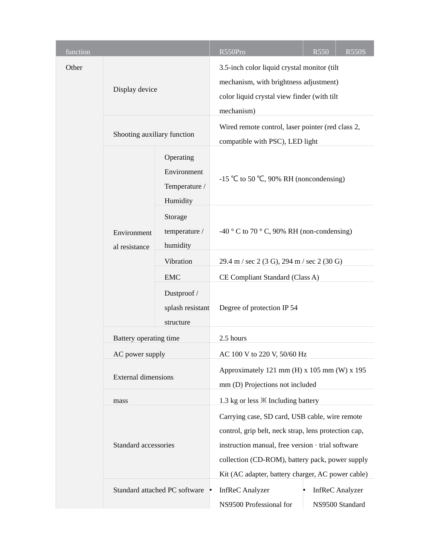| function |                              |                                                       | R550Pro                                                                                                                                                                                                                                                             | <b>R550</b>                               | <b>R550S</b> |  |  |
|----------|------------------------------|-------------------------------------------------------|---------------------------------------------------------------------------------------------------------------------------------------------------------------------------------------------------------------------------------------------------------------------|-------------------------------------------|--------------|--|--|
| Other    | Display device               |                                                       | 3.5-inch color liquid crystal monitor (tilt<br>mechanism, with brightness adjustment)<br>color liquid crystal view finder (with tilt<br>mechanism)                                                                                                                  |                                           |              |  |  |
|          | Shooting auxiliary function  |                                                       | Wired remote control, laser pointer (red class 2,<br>compatible with PSC), LED light                                                                                                                                                                                |                                           |              |  |  |
|          | Environment<br>al resistance | Operating<br>Environment<br>Temperature /<br>Humidity | -15 °C to 50 °C, 90% RH (noncondensing)                                                                                                                                                                                                                             |                                           |              |  |  |
|          |                              | Storage<br>temperature /<br>humidity                  | -40 ° C to 70 ° C, 90% RH (non-condensing)                                                                                                                                                                                                                          |                                           |              |  |  |
|          |                              | Vibration                                             | 29.4 m / sec 2 (3 G), 294 m / sec 2 (30 G)                                                                                                                                                                                                                          |                                           |              |  |  |
|          |                              | <b>EMC</b>                                            | CE Compliant Standard (Class A)                                                                                                                                                                                                                                     |                                           |              |  |  |
|          |                              | Dustproof /<br>splash resistant<br>structure          | Degree of protection IP 54                                                                                                                                                                                                                                          |                                           |              |  |  |
|          | Battery operating time       |                                                       | 2.5 hours                                                                                                                                                                                                                                                           |                                           |              |  |  |
|          | AC power supply              |                                                       | AC 100 V to 220 V, 50/60 Hz                                                                                                                                                                                                                                         |                                           |              |  |  |
|          | <b>External dimensions</b>   |                                                       | Approximately 121 mm (H) x 105 mm (W) x 195<br>mm (D) Projections not included                                                                                                                                                                                      |                                           |              |  |  |
|          | mass                         |                                                       | 1.3 kg or less $\mathbb{X}$ Including battery                                                                                                                                                                                                                       |                                           |              |  |  |
|          | Standard accessories         |                                                       | Carrying case, SD card, USB cable, wire remote<br>control, grip belt, neck strap, lens protection cap,<br>instruction manual, free version · trial software<br>collection (CD-ROM), battery pack, power supply<br>Kit (AC adapter, battery charger, AC power cable) |                                           |              |  |  |
|          |                              | Standard attached PC software •                       | <b>InfReC</b> Analyzer<br>NS9500 Professional for                                                                                                                                                                                                                   | <b>InfReC</b> Analyzer<br>NS9500 Standard |              |  |  |